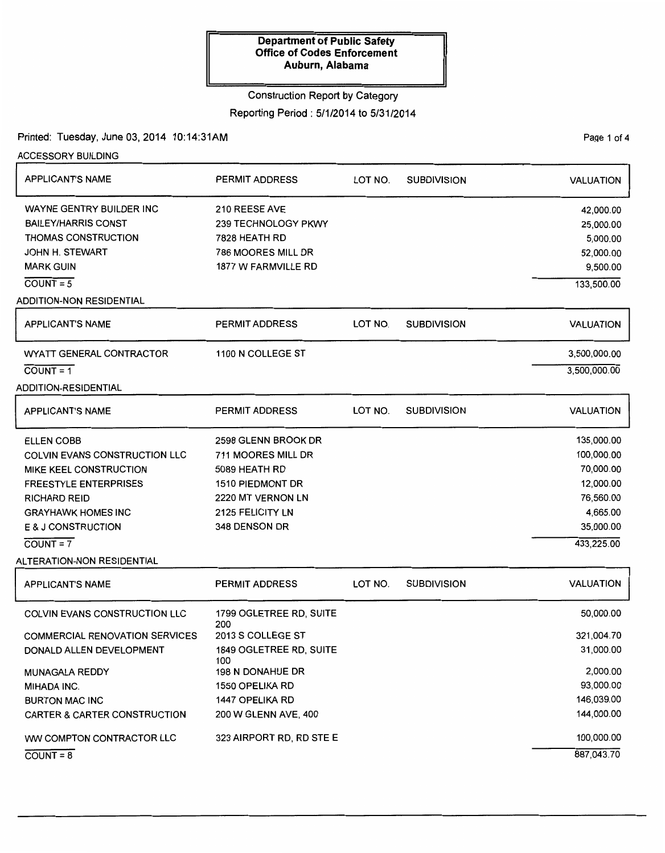# Construction Report by Category

# Reporting Period : 5/1/2014 to 5/31/2014

## Printed: Tuesday, June 03, 2014 10:14:31AM

Page 1 of 4

| <b>ACCESSORY BUILDING</b>               |                                |         |                    |                  |
|-----------------------------------------|--------------------------------|---------|--------------------|------------------|
| <b>APPLICANT'S NAME</b>                 | <b>PERMIT ADDRESS</b>          | LOT NO. | <b>SUBDIVISION</b> | <b>VALUATION</b> |
| WAYNE GENTRY BUILDER INC                | 210 REESE AVE                  |         |                    | 42,000.00        |
| <b>BAILEY/HARRIS CONST</b>              | 239 TECHNOLOGY PKWY            |         |                    | 25,000.00        |
| <b>THOMAS CONSTRUCTION</b>              | 7828 HEATH RD                  |         |                    | 5,000.00         |
| <b>JOHN H. STEWART</b>                  | 786 MOORES MILL DR             |         |                    | 52,000.00        |
| <b>MARK GUIN</b>                        | <b>1877 W FARMVILLE RD</b>     |         |                    | 9,500.00         |
| $COUNT = 5$                             |                                |         |                    | 133,500.00       |
| <b>ADDITION-NON RESIDENTIAL</b>         |                                |         |                    |                  |
| <b>APPLICANT'S NAME</b>                 | <b>PERMIT ADDRESS</b>          | LOT NO. | <b>SUBDIVISION</b> | <b>VALUATION</b> |
| WYATT GENERAL CONTRACTOR                | 1100 N COLLEGE ST              |         |                    | 3,500,000.00     |
| $COUNT = 1$                             |                                |         |                    | 3,500,000.00     |
| <b>ADDITION-RESIDENTIAL</b>             |                                |         |                    |                  |
| <b>APPLICANT'S NAME</b>                 | <b>PERMIT ADDRESS</b>          | LOT NO. | <b>SUBDIVISION</b> | <b>VALUATION</b> |
| <b>ELLEN COBB</b>                       | 2598 GLENN BROOK DR            |         |                    | 135,000.00       |
| COLVIN EVANS CONSTRUCTION LLC           | 711 MOORES MILL DR             |         |                    | 100,000.00       |
| MIKE KEEL CONSTRUCTION                  | 5089 HEATH RD                  |         |                    | 70,000.00        |
| <b>FREESTYLE ENTERPRISES</b>            | <b>1510 PIEDMONT DR</b>        |         |                    | 12,000.00        |
| <b>RICHARD REID</b>                     | 2220 MT VERNON LN              |         |                    | 76,560.00        |
| <b>GRAYHAWK HOMES INC</b>               | 2125 FELICITY LN               |         |                    | 4,665.00         |
| E & J CONSTRUCTION                      | 348 DENSON DR                  |         |                    | 35,000.00        |
| $COUNT = 7$                             |                                |         |                    | 433,225.00       |
| ALTERATION-NON RESIDENTIAL              |                                |         |                    |                  |
| <b>APPLICANT'S NAME</b>                 | <b>PERMIT ADDRESS</b>          | LOT NO. | <b>SUBDIVISION</b> | <b>VALUATION</b> |
| <b>COLVIN EVANS CONSTRUCTION LLC</b>    | 1799 OGLETREE RD, SUITE<br>200 |         |                    | 50,000.00        |
| <b>COMMERCIAL RENOVATION SERVICES</b>   | 2013 S COLLEGE ST              |         |                    | 321,004.70       |
| DONALD ALLEN DEVELOPMENT                | 1849 OGLETREE RD, SUITE<br>100 |         |                    | 31,000.00        |
| <b>MUNAGALA REDDY</b>                   | <b>198 N DONAHUE DR</b>        |         |                    | 2,000.00         |
| MIHADA INC.                             | 1550 OPELIKA RD                |         |                    | 93,000.00        |
| <b>BURTON MAC INC</b>                   | 1447 OPELIKA RD                |         |                    | 146,039.00       |
| <b>CARTER &amp; CARTER CONSTRUCTION</b> | 200 W GLENN AVE, 400           |         |                    | 144,000.00       |
| WW COMPTON CONTRACTOR LLC               | 323 AIRPORT RD, RD STE E       |         |                    | 100,000.00       |
| $COUNT = 8$                             |                                |         |                    | 887,043.70       |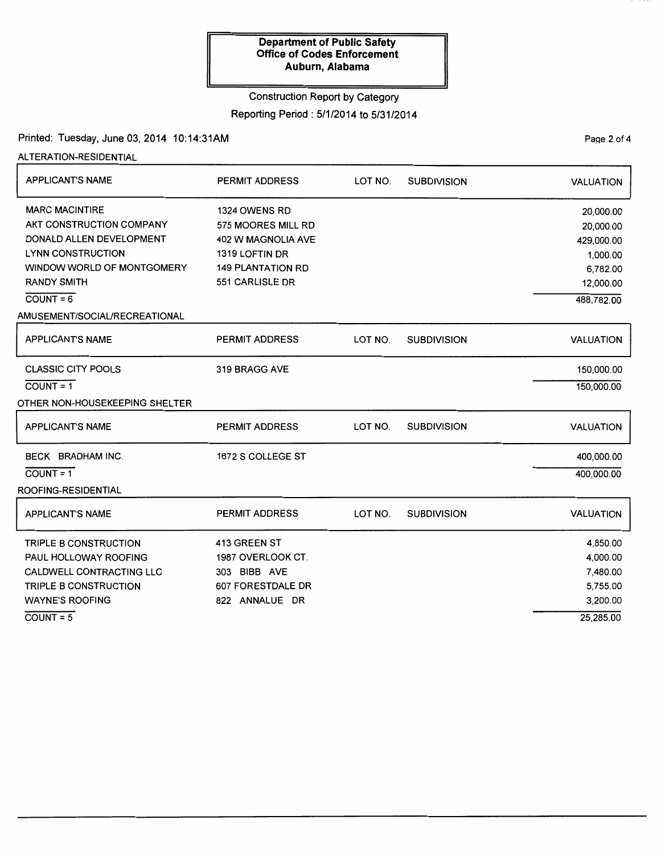### Construction Report by Category

# Reporting Period: 5/1/2014 to 5/31/2014

### Printed: Tuesday, June 03, 2014 10:14:31AM

ALTERATION-RESIDENTIAL

| <b>APPLICANT'S NAME</b>        | <b>PERMIT ADDRESS</b>    | LOT NO. | <b>SUBDIVISION</b> | <b>VALUATION</b> |
|--------------------------------|--------------------------|---------|--------------------|------------------|
| <b>MARC MACINTIRE</b>          | 1324 OWENS RD            |         |                    | 20,000.00        |
| AKT CONSTRUCTION COMPANY       | 575 MOORES MILL RD       |         |                    | 20,000.00        |
| DONALD ALLEN DEVELOPMENT       | 402 W MAGNOLIA AVE       |         |                    | 429,000.00       |
| <b>LYNN CONSTRUCTION</b>       | 1319 LOFTIN DR           |         |                    | 1,000.00         |
| WINDOW WORLD OF MONTGOMERY     | <b>149 PLANTATION RD</b> |         |                    | 6,782.00         |
| <b>RANDY SMITH</b>             | 551 CARLISLE DR          |         |                    | 12,000.00        |
| $COUNT = 6$                    |                          |         |                    | 488,782.00       |
| AMUSEMENT/SOCIAL/RECREATIONAL  |                          |         |                    |                  |
| <b>APPLICANT'S NAME</b>        | PERMIT ADDRESS           | LOT NO. | <b>SUBDIVISION</b> | <b>VALUATION</b> |
| <b>CLASSIC CITY POOLS</b>      | 319 BRAGG AVE            |         |                    | 150,000.00       |
| $COUNT = 1$                    |                          |         |                    | 150,000.00       |
| OTHER NON-HOUSEKEEPING SHELTER |                          |         |                    |                  |
| <b>APPLICANT'S NAME</b>        | <b>PERMIT ADDRESS</b>    | LOT NO. | <b>SUBDIVISION</b> | <b>VALUATION</b> |
| BECK BRADHAM INC.              | 1672 S COLLEGE ST        |         |                    | 400,000.00       |
| $COUNT = 1$                    |                          |         |                    | 400,000.00       |
| ROOFING-RESIDENTIAL            |                          |         |                    |                  |
| <b>APPLICANT'S NAME</b>        | <b>PERMIT ADDRESS</b>    | LOT NO. | <b>SUBDIVISION</b> | <b>VALUATION</b> |
| TRIPLE B CONSTRUCTION          | 413 GREEN ST             |         |                    | 4,850.00         |
| PAUL HOLLOWAY ROOFING          | 1987 OVERLOOK CT.        |         |                    | 4,000.00         |
| CALDWELL CONTRACTING LLC       | 303 BIBB AVE             |         |                    | 7,480.00         |
| <b>TRIPLE B CONSTRUCTION</b>   | 607 FORESTDALE DR        |         |                    | 5,755.00         |
| <b>WAYNE'S ROOFING</b>         | 822 ANNALUE DR           |         |                    | 3,200.00         |
| $COUNT = 5$                    |                          |         |                    | 25,285.00        |

PaQe 2 of 4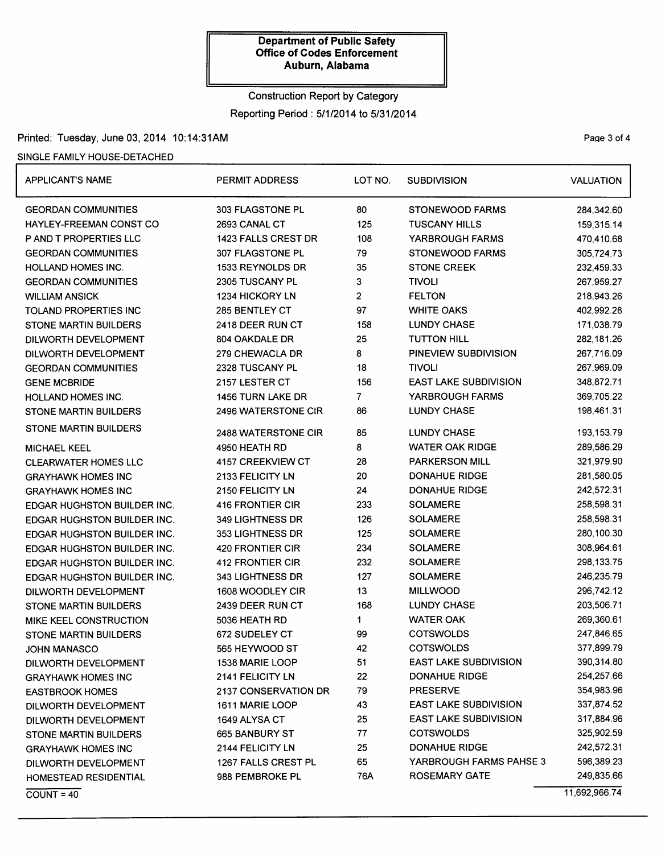# Construction Report by Category Reporting Period : 5/1/2014 to 5/31/2014

### Printed: Tuesday, June 03, 2014 10:14:31AM

### SINGLE FAMILY HOUSE-DETACHED

| <b>APPLICANT'S NAME</b>            | <b>PERMIT ADDRESS</b>      | LOT NO. | <b>SUBDIVISION</b>           | <b>VALUATION</b> |
|------------------------------------|----------------------------|---------|------------------------------|------------------|
| <b>GEORDAN COMMUNITIES</b>         | 303 FLAGSTONE PL           | 80      | <b>STONEWOOD FARMS</b>       | 284,342.60       |
| HAYLEY-FREEMAN CONST CO            | 2693 CANAL CT              | 125     | <b>TUSCANY HILLS</b>         | 159,315.14       |
| P AND T PROPERTIES LLC             | 1423 FALLS CREST DR        | 108     | YARBROUGH FARMS              | 470,410.68       |
| <b>GEORDAN COMMUNITIES</b>         | 307 FLAGSTONE PL           | 79      | <b>STONEWOOD FARMS</b>       | 305,724.73       |
| <b>HOLLAND HOMES INC.</b>          | 1533 REYNOLDS DR           | 35      | <b>STONE CREEK</b>           | 232,459.33       |
| <b>GEORDAN COMMUNITIES</b>         | 2305 TUSCANY PL            | 3       | <b>TIVOLI</b>                | 267,959.27       |
| <b>WILLIAM ANSICK</b>              | 1234 HICKORY LN            | 2       | <b>FELTON</b>                | 218,943.26       |
| <b>TOLAND PROPERTIES INC</b>       | 285 BENTLEY CT             | 97      | <b>WHITE OAKS</b>            | 402,992.28       |
| <b>STONE MARTIN BUILDERS</b>       | 2418 DEER RUN CT           | 158     | <b>LUNDY CHASE</b>           | 171,038.79       |
| DILWORTH DEVELOPMENT               | 804 OAKDALE DR             | 25      | <b>TUTTON HILL</b>           | 282,181.26       |
| DILWORTH DEVELOPMENT               | 279 CHEWACLA DR            | 8       | PINEVIEW SUBDIVISION         | 267,716.09       |
| <b>GEORDAN COMMUNITIES</b>         | 2328 TUSCANY PL            | 18      | <b>TIVOLI</b>                | 267,969.09       |
| <b>GENE MCBRIDE</b>                | 2157 LESTER CT             | 156     | <b>EAST LAKE SUBDIVISION</b> | 348,872.71       |
| <b>HOLLAND HOMES INC.</b>          | <b>1456 TURN LAKE DR</b>   | 7       | YARBROUGH FARMS              | 369,705.22       |
| <b>STONE MARTIN BUILDERS</b>       | 2496 WATERSTONE CIR        | 86      | <b>LUNDY CHASE</b>           | 198,461.31       |
| <b>STONE MARTIN BUILDERS</b>       | <b>2488 WATERSTONE CIR</b> | 85      | <b>LUNDY CHASE</b>           | 193,153.79       |
| <b>MICHAEL KEEL</b>                | 4950 HEATH RD              | 8       | <b>WATER OAK RIDGE</b>       | 289,586.29       |
| <b>CLEARWATER HOMES LLC</b>        | 4157 CREEKVIEW CT          | 28      | <b>PARKERSON MILL</b>        | 321,979.90       |
| <b>GRAYHAWK HOMES INC</b>          | 2133 FELICITY LN           | 20      | <b>DONAHUE RIDGE</b>         | 281,580.05       |
| <b>GRAYHAWK HOMES INC</b>          | 2150 FELICITY LN           | 24      | <b>DONAHUE RIDGE</b>         | 242,572.31       |
| EDGAR HUGHSTON BUILDER INC.        | 416 FRONTIER CIR           | 233     | <b>SOLAMERE</b>              | 258,598.31       |
| EDGAR HUGHSTON BUILDER INC.        | 349 LIGHTNESS DR           | 126     | <b>SOLAMERE</b>              | 258,598.31       |
| EDGAR HUGHSTON BUILDER INC.        | 353 LIGHTNESS DR           | 125     | <b>SOLAMERE</b>              | 280,100.30       |
| <b>EDGAR HUGHSTON BUILDER INC.</b> | 420 FRONTIER CIR           | 234     | <b>SOLAMERE</b>              | 308,964.61       |
| <b>EDGAR HUGHSTON BUILDER INC.</b> | <b>412 FRONTIER CIR</b>    | 232     | <b>SOLAMERE</b>              | 298, 133.75      |
| <b>EDGAR HUGHSTON BUILDER INC.</b> | 343 LIGHTNESS DR           | 127     | <b>SOLAMERE</b>              | 246,235.79       |
| DILWORTH DEVELOPMENT               | 1608 WOODLEY CIR           | 13      | <b>MILLWOOD</b>              | 296,742.12       |
| <b>STONE MARTIN BUILDERS</b>       | 2439 DEER RUN CT           | 168     | <b>LUNDY CHASE</b>           | 203,506.71       |
| MIKE KEEL CONSTRUCTION             | 5036 HEATH RD              | 1       | <b>WATER OAK</b>             | 269,360.61       |
| <b>STONE MARTIN BUILDERS</b>       | 672 SUDELEY CT             | 99      | <b>COTSWOLDS</b>             | 247,846.65       |
| <b>JOHN MANASCO</b>                | 565 HEYWOOD ST             | 42      | <b>COTSWOLDS</b>             | 377,899.79       |
| DILWORTH DEVELOPMENT               | <b>1538 MARIE LOOP</b>     | 51      | <b>EAST LAKE SUBDIVISION</b> | 390,314.80       |
| <b>GRAYHAWK HOMES INC</b>          | 2141 FELICITY LN           | 22      | DONAHUE RIDGE                | 254,257.66       |
| <b>EASTBROOK HOMES</b>             | 2137 CONSERVATION DR       | 79      | <b>PRESERVE</b>              | 354,983.96       |
| DILWORTH DEVELOPMENT               | 1611 MARIE LOOP            | 43      | <b>EAST LAKE SUBDIVISION</b> | 337,874.52       |
| DILWORTH DEVELOPMENT               | 1649 ALYSA CT              | 25      | <b>EAST LAKE SUBDIVISION</b> | 317,884.96       |
| <b>STONE MARTIN BUILDERS</b>       | 665 BANBURY ST             | 77      | <b>COTSWOLDS</b>             | 325,902.59       |
| <b>GRAYHAWK HOMES INC</b>          | 2144 FELICITY LN           | 25      | <b>DONAHUE RIDGE</b>         | 242,572.31       |
| DILWORTH DEVELOPMENT               | 1267 FALLS CREST PL        | 65      | YARBROUGH FARMS PAHSE 3      | 596,389.23       |
| <b>HOMESTEAD RESIDENTIAL</b>       | 988 PEMBROKE PL            | 76A     | <b>ROSEMARY GATE</b>         | 249,835.66       |
| $COUNT = 40$                       |                            |         |                              | 11,692,966.74    |

Page 3 of 4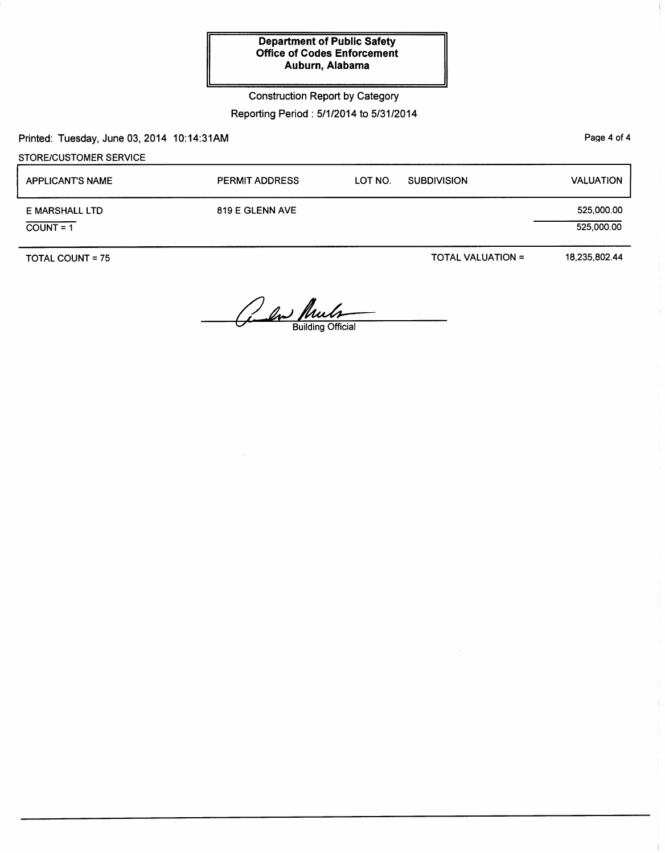Construction Report by Category

Reporting Period : 5/1/2014 to 5/31/2014

Printed: Tuesday, June 03, 2014 10:14:31AM

STORE/CUSTOMER SERVICE

| <b>APPLICANT'S NAME</b>       | <b>PERMIT ADDRESS</b> | <b>SUBDIVISION</b><br>LOT NO. | <b>VALUATION</b>         |
|-------------------------------|-----------------------|-------------------------------|--------------------------|
| E MARSHALL LTD<br>$COUNT = 1$ | 819 E GLENN AVE       |                               | 525,000.00<br>525,000.00 |
|                               |                       |                               |                          |

TOTAL COUNT= 75

TOTAL VALUATION=

18,235,802.44

and Pueb

PaQe 4 of 4